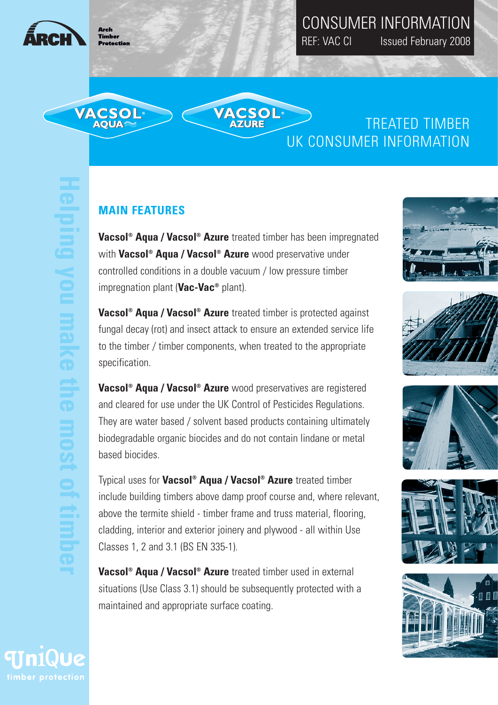

Timhe Protection

VACSOL<sup>®</sup><br>AQUA~

## CONSUMER INFORMATION REF: VAC CI Issued February 2008

TREATED TIMBER UK CONSUMER INFORMATION

### **MAIN FEATURES**

**Vacsol® Aqua / Vacsol® Azure** treated timber has been impregnated with **Vacsol® Aqua / Vacsol® Azure** wood preservative under controlled conditions in a double vacuum / low pressure timber impregnation plant (**Vac-Vac®** plant).

**VACSOL<sup>®</sup>**<br>AZURE

**Vacsol® Aqua / Vacsol® Azure** treated timber is protected against fungal decay (rot) and insect attack to ensure an extended service life to the timber / timber components, when treated to the appropriate specification.

**Vacsol® Aqua / Vacsol® Azure** wood preservatives are registered and cleared for use under the UK Control of Pesticides Regulations. They are water based / solvent based products containing ultimately biodegradable organic biocides and do not contain lindane or metal based biocides.

Typical uses for **Vacsol® Aqua / Vacsol® Azure** treated timber include building timbers above damp proof course and, where relevant, above the termite shield - timber frame and truss material, flooring, cladding, interior and exterior joinery and plywood - all within Use Classes 1, 2 and 3.1 (BS EN 335-1).

**Vacsol® Aqua / Vacsol® Azure** treated timber used in external situations (Use Class 3.1) should be subsequently protected with a maintained and appropriate surface coating.